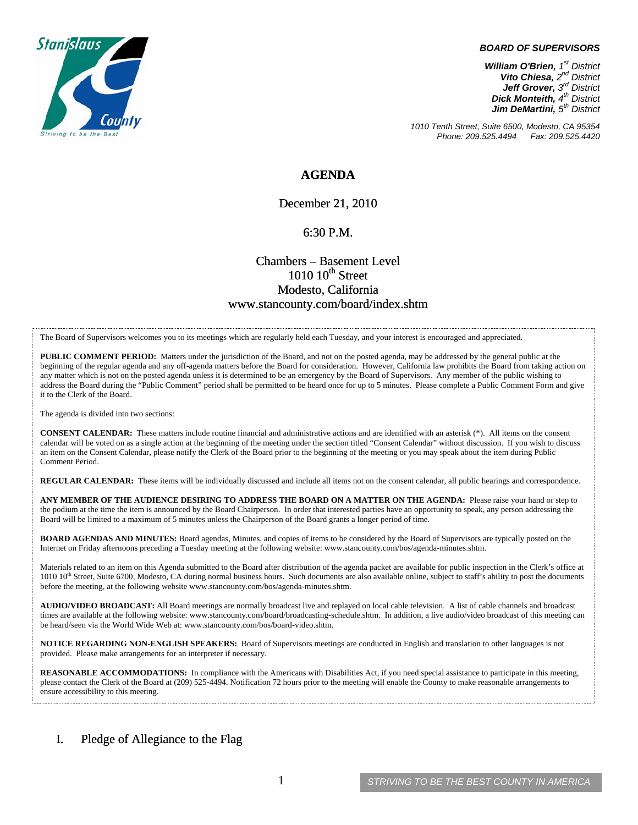

#### *BOARD OF SUPERVISORS*

*William O'Brien, 1st District Vito Chiesa, 2nd District Jeff Grover, 3rd District Dick Monteith, 4th District Jim DeMartini, 5th District*

*1010 Tenth Street, Suite 6500, Modesto, CA 95354 Phone: 209.525.4494* 

### **AGENDA**

December 21, 2010

#### 6:30 P.M.

## Chambers – Basement Level  $1010~10$ <sup>th</sup> Street Modesto, California www.stancounty.com/board/index.shtm

The Board of Supervisors welcomes you to its meetings which are regularly held each Tuesday, and your interest is encouraged and appreciated.

**PUBLIC COMMENT PERIOD:** Matters under the jurisdiction of the Board, and not on the posted agenda, may be addressed by the general public at the beginning of the regular agenda and any off-agenda matters before the Board for consideration. However, California law prohibits the Board from taking action on any matter which is not on the posted agenda unless it is determined to be an emergency by the Board of Supervisors. Any member of the public wishing to address the Board during the "Public Comment" period shall be permitted to be heard once for up to 5 minutes. Please complete a Public Comment Form and give it to the Clerk of the Board.

The agenda is divided into two sections:

**CONSENT CALENDAR:** These matters include routine financial and administrative actions and are identified with an asterisk (\*). All items on the consent calendar will be voted on as a single action at the beginning of the meeting under the section titled "Consent Calendar" without discussion. If you wish to discuss an item on the Consent Calendar, please notify the Clerk of the Board prior to the beginning of the meeting or you may speak about the item during Public Comment Period.

**REGULAR CALENDAR:** These items will be individually discussed and include all items not on the consent calendar, all public hearings and correspondence.

**ANY MEMBER OF THE AUDIENCE DESIRING TO ADDRESS THE BOARD ON A MATTER ON THE AGENDA:** Please raise your hand or step to the podium at the time the item is announced by the Board Chairperson. In order that interested parties have an opportunity to speak, any person addressing the Board will be limited to a maximum of 5 minutes unless the Chairperson of the Board grants a longer period of time.

**BOARD AGENDAS AND MINUTES:** Board agendas, Minutes, and copies of items to be considered by the Board of Supervisors are typically posted on the Internet on Friday afternoons preceding a Tuesday meeting at the following website: www.stancounty.com/bos/agenda-minutes.shtm.

Materials related to an item on this Agenda submitted to the Board after distribution of the agenda packet are available for public inspection in the Clerk's office at 1010 10<sup>th</sup> Street, Suite 6700, Modesto, CA during normal business hours. Such documents are also available online, subject to staff's ability to post the documents before the meeting, at the following website www.stancounty.com/bos/agenda-minutes.shtm.

**AUDIO/VIDEO BROADCAST:** All Board meetings are normally broadcast live and replayed on local cable television. A list of cable channels and broadcast times are available at the following website: www.stancounty.com/board/broadcasting-schedule.shtm. In addition, a live audio/video broadcast of this meeting can be heard/seen via the World Wide Web at: www.stancounty.com/bos/board-video.shtm.

**NOTICE REGARDING NON-ENGLISH SPEAKERS:** Board of Supervisors meetings are conducted in English and translation to other languages is not provided. Please make arrangements for an interpreter if necessary.

**REASONABLE ACCOMMODATIONS:** In compliance with the Americans with Disabilities Act, if you need special assistance to participate in this meeting, please contact the Clerk of the Board at (209) 525-4494. Notification 72 hours prior to the meeting will enable the County to make reasonable arrangements to ensure accessibility to this meeting.

### I. Pledge of Allegiance to the Flag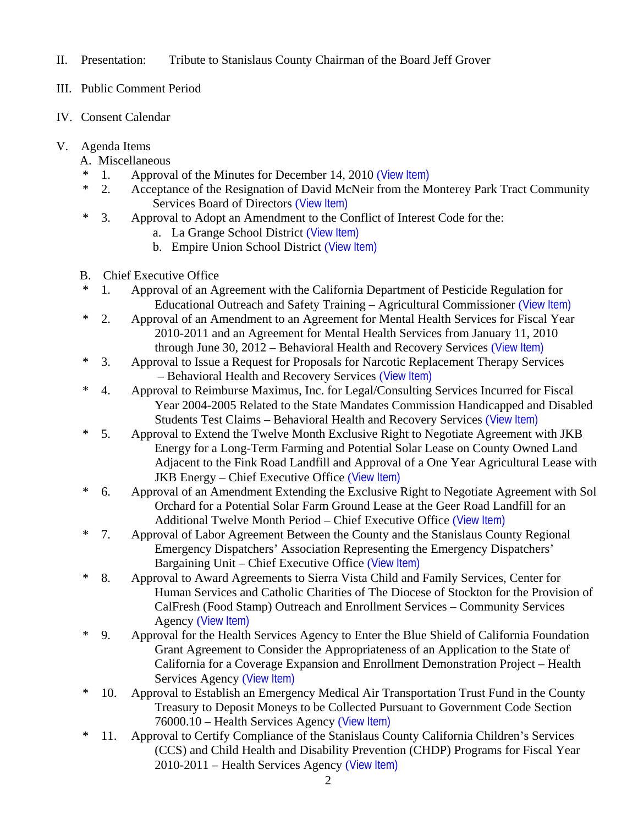- II. Presentation: Tribute to Stanislaus County Chairman of the Board Jeff Grover
- III. Public Comment Period
- IV. Consent Calendar
- V. Agenda Items
	- A. Miscellaneous
	- \* 1. Approval of the Minutes for December 14, 2010 ([View Item\)](http://www.stancounty.com/bos/minutes/2010/min12-14-10.pdf)
	- \* 2. Acceptance of the Resignation of David McNeir from the Monterey Park Tract Community Services Board of Directors ([View Item\)](http://www.stancounty.com/bos/agenda/2010/20101221/A02.pdf)
	- \* 3. Approval to Adopt an Amendment to the Conflict of Interest Code for the:
		- a. La Grange School District ([View Item\)](http://www.stancounty.com/bos/agenda/2010/20101221/A03a.pdf)
		- b. Empire Union School District ([View Item\)](http://www.stancounty.com/bos/agenda/2010/20101221/A03b.pdf)
	- B. Chief Executive Office
	- \* 1. Approval of an Agreement with the California Department of Pesticide Regulation for Educational Outreach and Safety Training – Agricultural Commissioner ([View Item\)](http://www.stancounty.com/bos/agenda/2010/20101221/B01.pdf)
	- \* 2. Approval of an Amendment to an Agreement for Mental Health Services for Fiscal Year 2010-2011 and an Agreement for Mental Health Services from January 11, 2010 through June 30, 2012 – Behavioral Health and Recovery Services ([View Item\)](http://www.stancounty.com/bos/agenda/2010/20101221/B02.pdf)
	- \* 3. Approval to Issue a Request for Proposals for Narcotic Replacement Therapy Services – Behavioral Health and Recovery Services ([View Item\)](http://www.stancounty.com/bos/agenda/2010/20101221/B03.pdf)
	- \* 4. Approval to Reimburse Maximus, Inc. for Legal/Consulting Services Incurred for Fiscal Year 2004-2005 Related to the State Mandates Commission Handicapped and Disabled Students Test Claims - Behavioral Health and Recovery Services ([View Item\)](http://www.stancounty.com/bos/agenda/2010/20101221/B04.pdf)
	- \* 5. Approval to Extend the Twelve Month Exclusive Right to Negotiate Agreement with JKB Energy for a Long-Term Farming and Potential Solar Lease on County Owned Land Adjacent to the Fink Road Landfill and Approval of a One Year Agricultural Lease with JKB Energy – Chief Executive Office ([View Item\)](http://www.stancounty.com/bos/agenda/2010/20101221/B05.pdf)
	- \* 6. Approval of an Amendment Extending the Exclusive Right to Negotiate Agreement with Sol Orchard for a Potential Solar Farm Ground Lease at the Geer Road Landfill for an Additional Twelve Month Period – Chief Executive Office ([View Item\)](http://www.stancounty.com/bos/agenda/2010/20101221/B06.pdf)
	- \* 7. Approval of Labor Agreement Between the County and the Stanislaus County Regional Emergency Dispatchers' Association Representing the Emergency Dispatchers' Bargaining Unit – Chief Executive Office ([View Item\)](http://www.stancounty.com/bos/agenda/2010/20101221/B07.pdf)
	- \* 8. Approval to Award Agreements to Sierra Vista Child and Family Services, Center for Human Services and Catholic Charities of The Diocese of Stockton for the Provision of CalFresh (Food Stamp) Outreach and Enrollment Services – Community Services Agency ([View Item\)](http://www.stancounty.com/bos/agenda/2010/20101221/B08.pdf)
	- \* 9. Approval for the Health Services Agency to Enter the Blue Shield of California Foundation Grant Agreement to Consider the Appropriateness of an Application to the State of California for a Coverage Expansion and Enrollment Demonstration Project – Health Services Agency ([View Item\)](http://www.stancounty.com/bos/agenda/2010/20101221/B09.pdf)
	- \* 10. Approval to Establish an Emergency Medical Air Transportation Trust Fund in the County Treasury to Deposit Moneys to be Collected Pursuant to Government Code Section 76000.10 – Health Services Agency ([View Item\)](http://www.stancounty.com/bos/agenda/2010/20101221/B10.pdf)
	- \* 11. Approval to Certify Compliance of the Stanislaus County California Children's Services (CCS) and Child Health and Disability Prevention (CHDP) Programs for Fiscal Year 2010-2011 – Health Services Agency ([View Item\)](http://www.stancounty.com/bos/agenda/2010/20101221/B11.pdf)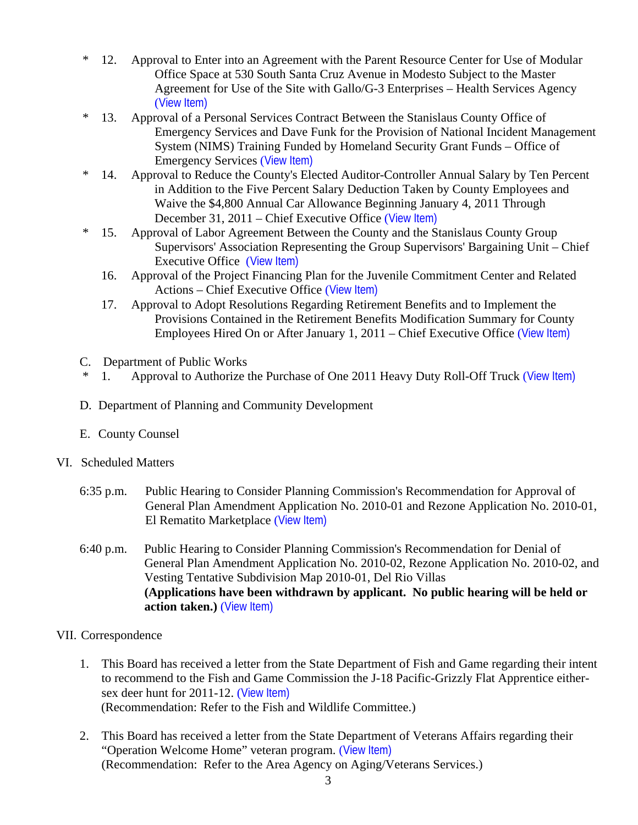- \* 12. Approval to Enter into an Agreement with the Parent Resource Center for Use of Modular Office Space at 530 South Santa Cruz Avenue in Modesto Subject to the Master Agreement for Use of the Site with Gallo/G-3 Enterprises – Health Services Agency ([View Item\)](http://www.stancounty.com/bos/agenda/2010/20101221/B12.pdf)
- \* 13. Approval of a Personal Services Contract Between the Stanislaus County Office of Emergency Services and Dave Funk for the Provision of National Incident Management System (NIMS) Training Funded by Homeland Security Grant Funds – Office of Emergency Services ([View Item\)](http://www.stancounty.com/bos/agenda/2010/20101221/B13.pdf)
- \* 14. Approval to Reduce the County's Elected Auditor-Controller Annual Salary by Ten Percent in Addition to the Five Percent Salary Deduction Taken by County Employees and Waive the \$4,800 Annual Car Allowance Beginning January 4, 2011 Through December 31, 2011 – Chief Executive Office ([View Item\)](http://www.stancounty.com/bos/agenda/2010/20101221/B14.pdf)
- \* 15. Approval of Labor Agreement Between the County and the Stanislaus County Group Supervisors' Association Representing the Group Supervisors' Bargaining Unit – Chief Executive Office ([View Item\)](http://www.stancounty.com/bos/agenda/2010/20101221/B15.pdf)
	- 16. Approval of the Project Financing Plan for the Juvenile Commitment Center and Related Actions – Chief Executive Office ([View Item\)](http://www.stancounty.com/bos/agenda/2010/20101221/B16.pdf)
	- 17. Approval to Adopt Resolutions Regarding Retirement Benefits and to Implement the Provisions Contained in the Retirement Benefits Modification Summary for County Employees Hired On or After January 1, 2011 – Chief Executive Office ([View Item\)](http://www.stancounty.com/bos/agenda/2010/20101221/B17.pdf)
- C. Department of Public Works
- \* 1. Approval to Authorize the Purchase of One 2011 Heavy Duty Roll-Off Truck ([View Item\)](http://www.stancounty.com/bos/agenda/2010/20101221/C01.pdf)
- D. Department of Planning and Community Development
- E. County Counsel

# VI. Scheduled Matters

- 6:35 p.m. Public Hearing to Consider Planning Commission's Recommendation for Approval of General Plan Amendment Application No. 2010-01 and Rezone Application No. 2010-01, El Rematito Marketplace ([View Item\)](http://www.stancounty.com/bos/agenda/2010/20101221/PH635.pdf)
- 6:40 p.m. Public Hearing to Consider Planning Commission's Recommendation for Denial of General Plan Amendment Application No. 2010-02, Rezone Application No. 2010-02, and Vesting Tentative Subdivision Map 2010-01, Del Rio Villas **(Applications have been withdrawn by applicant. No public hearing will be held or action taken.)** ([View Item\)](http://www.stancounty.com/bos/agenda/2010/20101221/PH640.pdf)
- VII. Correspondence
	- 1. This Board has received a letter from the State Department of Fish and Game regarding their intent to recommend to the Fish and Game Commission the J-18 Pacific-Grizzly Flat Apprentice either-sex deer hunt for 2011-12. ([View Item\)](http://www.stancounty.com/bos/agenda/2010/20101221/Corr01.pdf) (Recommendation: Refer to the Fish and Wildlife Committee.)
	- 2. This Board has received a letter from the State Department of Veterans Affairs regarding their "Operation Welcome Home" veteran program. ([View Item\)](http://www.stancounty.com/bos/agenda/2010/20101221/Corr02.pdf) (Recommendation: Refer to the Area Agency on Aging/Veterans Services.)